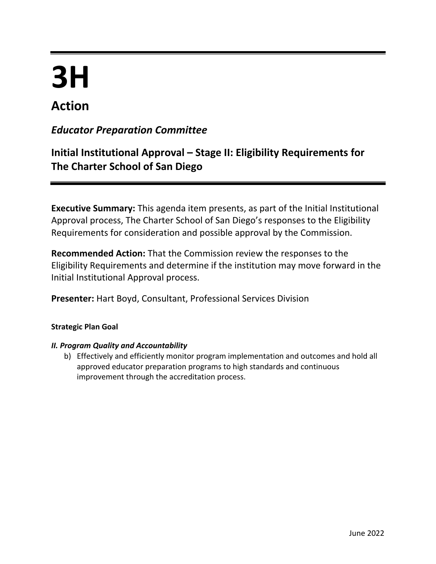# **3H**

## **Action**

### *Educator Preparation Committee*

## **Initial Institutional Approval – Stage II: Eligibility Requirements for The Charter School of San Diego**

**Executive Summary:** This agenda item presents, as part of the Initial Institutional Approval process, The Charter School of San Diego's responses to the Eligibility Requirements for consideration and possible approval by the Commission.

**Recommended Action:** That the Commission review the responses to the Eligibility Requirements and determine if the institution may move forward in the Initial Institutional Approval process.

**Presenter:** Hart Boyd, Consultant, Professional Services Division

#### **Strategic Plan Goal**

#### *II. Program Quality and Accountability*

b) Effectively and efficiently monitor program implementation and outcomes and hold all approved educator preparation programs to high standards and continuous improvement through the accreditation process.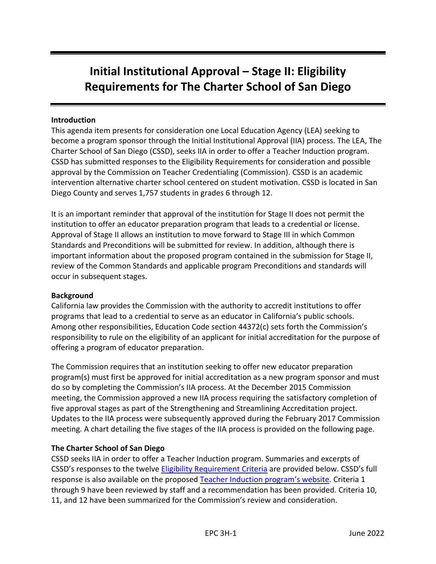## **Initial Institutional Approval – Stage II: Eligibility Requirements for The Charter School of San Diego**

#### **Introduction**

This agenda item presents for consideration one Local Education Agency (LEA) seeking to become a program sponsor through the Initial Institutional Approval (IIA) process. The LEA, The Charter School of San Diego (CSSD), seeks IIA in order to offer a Teacher Induction program. CSSD has submitted responses to the Eligibility Requirements for consideration and possible approval by the Commission on Teacher Credentialing (Commission). CSSD is an academic intervention alternative charter school centered on student motivation. CSSD is located in San Diego County and serves 1,757 students in grades 6 through 12.

It is an important reminder that approval of the institution for Stage II does not permit the institution to offer an educator preparation program that leads to a credential or license. Approval of Stage II allows an institution to move forward to Stage III in which Common Standards and Preconditions will be submitted for review. In addition, although there is important information about the proposed program contained in the submission for Stage II, review of the Common Standards and applicable program Preconditions and standards will occur in subsequent stages.

#### **Background**

California law provides the Commission with the authority to accredit institutions to offer programs that lead to a credential to serve as an educator in California's public schools. Among other responsibilities, Education Code section 44372(c) sets forth the Commission's responsibility to rule on the eligibility of an applicant for initial accreditation for the purpose of offering a program of educator preparation.

The Commission requires that an institution seeking to offer new educator preparation program(s) must first be approved for initial accreditation as a new program sponsor and must do so by completing the Commission's IIA process. At the December 2015 Commission meeting, the Commission approved a new IIA process requiring the satisfactory completion of five approval stages as part of the Strengthening and Streamlining Accreditation project. Updates to the IIA process were subsequently approved during the February 2017 Commission meeting. A chart detailing the five stages of the IIA process is provided on the following page.

#### **The Charter School of San Diego**

CSSD seeks IIA in order to offer a Teacher Induction program. Summaries and excerpts of CSSD's responses to the twelve [Eligibility Requirement Criteria](https://www.ctc.ca.gov/docs/default-source/educator-prep/accred-files/stage-ii.pdf?sfvrsn=287945b1_6) are provided below. CSSD's full response is also available on the proposed [Teacher Induction program's](https://altusuniversity.com/ctc-provisional-applications/) website. Criteria 1 through 9 have been reviewed by staff and a recommendation has been provided. Criteria 10, 11, and 12 have been summarized for the Commission's review and consideration.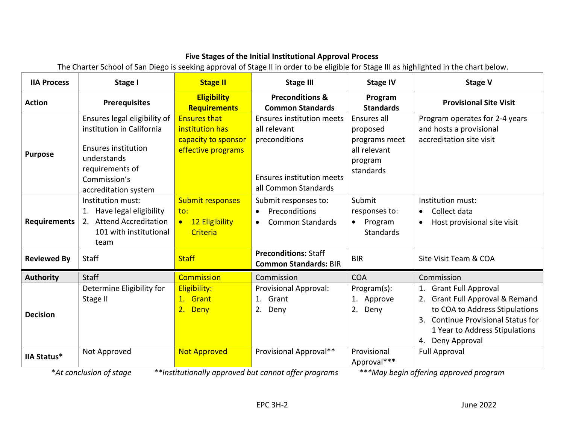#### **Five Stages of the Initial Institutional Approval Process**

The Charter School of San Diego is seeking approval of Stage II in order to be eligible for Stage III as highlighted in the chart below.

| <b>IIA Process</b>  | Stage I                                                                                                                                                           | <b>Stage II</b>                                                                     | <b>Stage III</b>                                                                                                              | <b>Stage IV</b>                                                                  | <b>Stage V</b>                                                                                                                                                                                       |
|---------------------|-------------------------------------------------------------------------------------------------------------------------------------------------------------------|-------------------------------------------------------------------------------------|-------------------------------------------------------------------------------------------------------------------------------|----------------------------------------------------------------------------------|------------------------------------------------------------------------------------------------------------------------------------------------------------------------------------------------------|
| <b>Action</b>       | <b>Prerequisites</b>                                                                                                                                              | <b>Eligibility</b><br><b>Requirements</b>                                           | <b>Preconditions &amp;</b><br><b>Common Standards</b>                                                                         | Program<br><b>Standards</b>                                                      | <b>Provisional Site Visit</b>                                                                                                                                                                        |
| <b>Purpose</b>      | Ensures legal eligibility of<br>institution in California<br><b>Ensures institution</b><br>understands<br>requirements of<br>Commission's<br>accreditation system | <b>Ensures that</b><br>institution has<br>capacity to sponsor<br>effective programs | <b>Ensures institution meets</b><br>all relevant<br>preconditions<br><b>Ensures institution meets</b><br>all Common Standards | Ensures all<br>proposed<br>programs meet<br>all relevant<br>program<br>standards | Program operates for 2-4 years<br>and hosts a provisional<br>accreditation site visit                                                                                                                |
| <b>Requirements</b> | Institution must:<br>1. Have legal eligibility<br>2. Attend Accreditation<br>101 with institutional<br>team                                                       | <b>Submit responses</b><br>to:<br>12 Eligibility<br>$\bullet$<br>Criteria           | Submit responses to:<br>Preconditions<br><b>Common Standards</b><br>$\bullet$                                                 | Submit<br>responses to:<br>Program<br>$\bullet$<br><b>Standards</b>              | Institution must:<br>Collect data<br>$\bullet$<br>Host provisional site visit                                                                                                                        |
| <b>Reviewed By</b>  | Staff                                                                                                                                                             | <b>Staff</b>                                                                        | <b>Preconditions: Staff</b><br><b>Common Standards: BIR</b>                                                                   | <b>BIR</b>                                                                       | Site Visit Team & COA                                                                                                                                                                                |
| <b>Authority</b>    | <b>Staff</b>                                                                                                                                                      | <b>Commission</b>                                                                   | Commission                                                                                                                    | <b>COA</b>                                                                       | Commission                                                                                                                                                                                           |
| <b>Decision</b>     | Determine Eligibility for<br>Stage II                                                                                                                             | Eligibility:<br>1. Grant<br>2. Deny                                                 | <b>Provisional Approval:</b><br>1. Grant<br>2.<br>Deny                                                                        | Program(s):<br>1. Approve<br>2. Deny                                             | 1. Grant Full Approval<br>2. Grant Full Approval & Remand<br>to COA to Address Stipulations<br><b>Continue Provisional Status for</b><br>3.<br>1 Year to Address Stipulations<br>Deny Approval<br>4. |
| <b>IIA Status*</b>  | Not Approved<br>$*$ At conclusion of stage                                                                                                                        | <b>Not Approved</b>                                                                 | Provisional Approval**<br>$**$ Institutionally approved but cannot offer programs.                                            | Provisional<br>Approval***                                                       | <b>Full Approval</b><br>$***$ May begin offering approved program                                                                                                                                    |

\**At conclusion of stage \*\*Institutionally approved but cannot offer programs \*\*\*May begin offering approved program*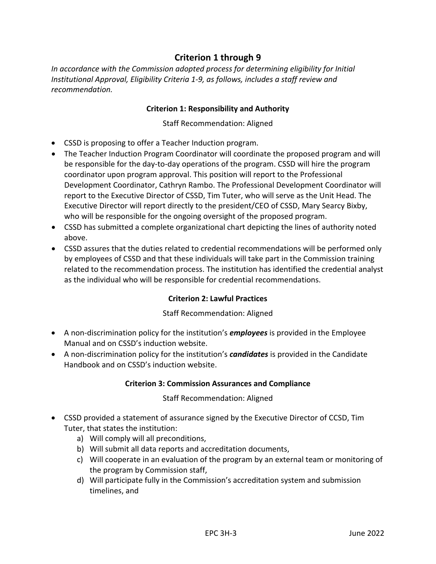#### **Criterion 1 through 9**

*In accordance with the Commission adopted process for determining eligibility for Initial Institutional Approval, Eligibility Criteria 1-9, as follows, includes a staff review and recommendation.*

#### **Criterion 1: Responsibility and Authority**

Staff Recommendation: Aligned

- CSSD is proposing to offer a Teacher Induction program.
- The Teacher Induction Program Coordinator will coordinate the proposed program and will be responsible for the day-to-day operations of the program. CSSD will hire the program coordinator upon program approval. This position will report to the Professional Development Coordinator, Cathryn Rambo. The Professional Development Coordinator will report to the Executive Director of CSSD, Tim Tuter, who will serve as the Unit Head. The Executive Director will report directly to the president/CEO of CSSD, Mary Searcy Bixby, who will be responsible for the ongoing oversight of the proposed program.
- CSSD has submitted a complete organizational chart depicting the lines of authority noted above.
- CSSD assures that the duties related to credential recommendations will be performed only by employees of CSSD and that these individuals will take part in the Commission training related to the recommendation process. The institution has identified the credential analyst as the individual who will be responsible for credential recommendations.

#### **Criterion 2: Lawful Practices**

#### Staff Recommendation: Aligned

- A non-discrimination policy for the institution's *employees* is provided in the Employee Manual and on CSSD's induction website.
- A non-discrimination policy for the institution's *candidates* is provided in the Candidate Handbook and on CSSD's induction website.

#### **Criterion 3: Commission Assurances and Compliance**

#### Staff Recommendation: Aligned

- CSSD provided a statement of assurance signed by the Executive Director of CCSD, Tim Tuter, that states the institution:
	- a) Will comply will all preconditions,
	- b) Will submit all data reports and accreditation documents,
	- c) Will cooperate in an evaluation of the program by an external team or monitoring of the program by Commission staff,
	- d) Will participate fully in the Commission's accreditation system and submission timelines, and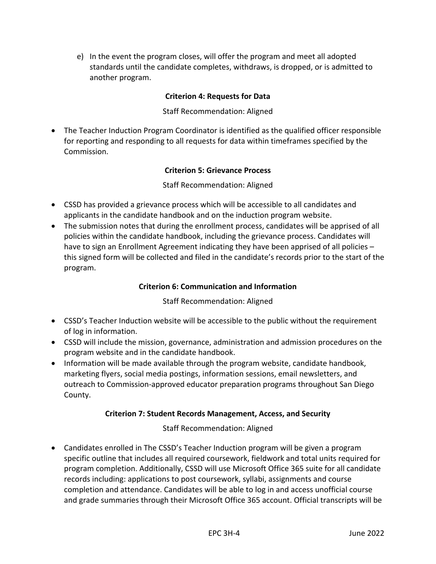e) In the event the program closes, will offer the program and meet all adopted standards until the candidate completes, withdraws, is dropped, or is admitted to another program.

#### **Criterion 4: Requests for Data**

#### Staff Recommendation: Aligned

• The Teacher Induction Program Coordinator is identified as the qualified officer responsible for reporting and responding to all requests for data within timeframes specified by the Commission.

#### **Criterion 5: Grievance Process**

#### Staff Recommendation: Aligned

- CSSD has provided a grievance process which will be accessible to all candidates and applicants in the candidate handbook and on the induction program website.
- The submission notes that during the enrollment process, candidates will be apprised of all policies within the candidate handbook, including the grievance process. Candidates will have to sign an Enrollment Agreement indicating they have been apprised of all policies this signed form will be collected and filed in the candidate's records prior to the start of the program.

#### **Criterion 6: Communication and Information**

Staff Recommendation: Aligned

- CSSD's Teacher Induction website will be accessible to the public without the requirement of log in information.
- CSSD will include the mission, governance, administration and admission procedures on the program website and in the candidate handbook.
- Information will be made available through the program website, candidate handbook, marketing flyers, social media postings, information sessions, email newsletters, and outreach to Commission-approved educator preparation programs throughout San Diego County.

#### **Criterion 7: Student Records Management, Access, and Security**

Staff Recommendation: Aligned

• Candidates enrolled in The CSSD's Teacher Induction program will be given a program specific outline that includes all required coursework, fieldwork and total units required for program completion. Additionally, CSSD will use Microsoft Office 365 suite for all candidate records including: applications to post coursework, syllabi, assignments and course completion and attendance. Candidates will be able to log in and access unofficial course and grade summaries through their Microsoft Office 365 account. Official transcripts will be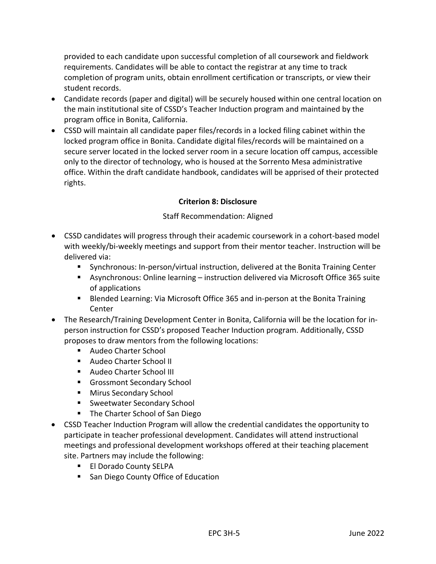provided to each candidate upon successful completion of all coursework and fieldwork requirements. Candidates will be able to contact the registrar at any time to track completion of program units, obtain enrollment certification or transcripts, or view their student records.

- Candidate records (paper and digital) will be securely housed within one central location on the main institutional site of CSSD's Teacher Induction program and maintained by the program office in Bonita, California.
- CSSD will maintain all candidate paper files/records in a locked filing cabinet within the locked program office in Bonita. Candidate digital files/records will be maintained on a secure server located in the locked server room in a secure location off campus, accessible only to the director of technology, who is housed at the Sorrento Mesa administrative office. Within the draft candidate handbook, candidates will be apprised of their protected rights.

#### **Criterion 8: Disclosure**

#### Staff Recommendation: Aligned

- CSSD candidates will progress through their academic coursework in a cohort-based model with weekly/bi-weekly meetings and support from their mentor teacher. Instruction will be delivered via:
	- Synchronous: In-person/virtual instruction, delivered at the Bonita Training Center
	- Asynchronous: Online learning instruction delivered via Microsoft Office 365 suite of applications
	- Blended Learning: Via Microsoft Office 365 and in-person at the Bonita Training Center
- The Research/Training Development Center in Bonita, California will be the location for inperson instruction for CSSD's proposed Teacher Induction program. Additionally, CSSD proposes to draw mentors from the following locations:
	- Audeo Charter School
	- Audeo Charter School II
	- Audeo Charter School III
	- Grossmont Secondary School
	- Mirus Secondary School
	- Sweetwater Secondary School
	- The Charter School of San Diego
- CSSD Teacher Induction Program will allow the credential candidates the opportunity to participate in teacher professional development. Candidates will attend instructional meetings and professional development workshops offered at their teaching placement site. Partners may include the following:
	- El Dorado County SELPA
	- San Diego County Office of Education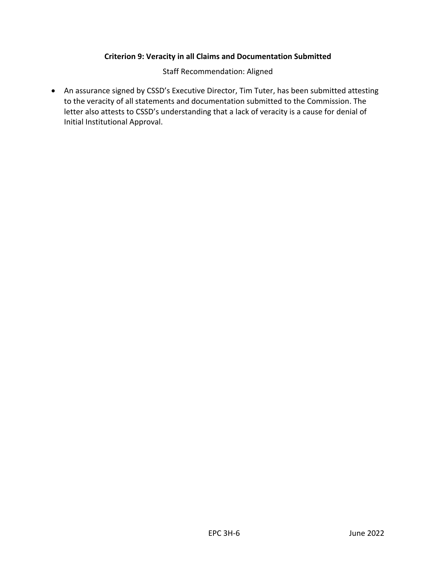#### **Criterion 9: Veracity in all Claims and Documentation Submitted**

Staff Recommendation: Aligned

• An assurance signed by CSSD's Executive Director, Tim Tuter, has been submitted attesting to the veracity of all statements and documentation submitted to the Commission. The letter also attests to CSSD's understanding that a lack of veracity is a cause for denial of Initial Institutional Approval.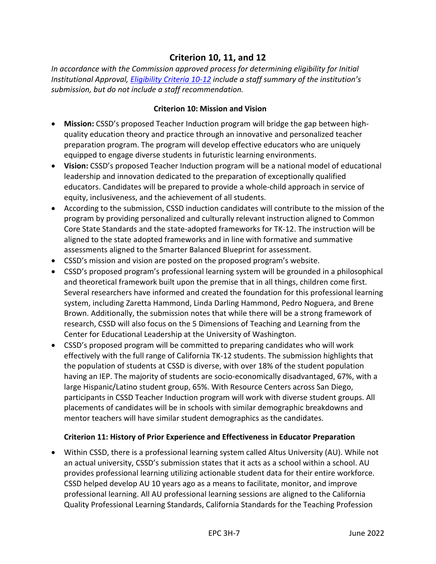#### **Criterion 10, 11, and 12**

*In accordance with the Commission approved process for determining eligibility for Initial Institutional Approval, Eligibility Criteria 10-12 include a staff summary of the institution's submission, but do not include a staff recommendation.*

#### **Criterion 10: Mission and Vision**

- **Mission:** CSSD's proposed Teacher Induction program will bridge the gap between highquality education theory and practice through an innovative and personalized teacher preparation program. The program will develop effective educators who are uniquely equipped to engage diverse students in futuristic learning environments.
- **Vision:** CSSD's proposed Teacher Induction program will be a national model of educational leadership and innovation dedicated to the preparation of exceptionally qualified educators. Candidates will be prepared to provide a whole-child approach in service of equity, inclusiveness, and the achievement of all students.
- According to the submission, CSSD induction candidates will contribute to the mission of the program by providing personalized and culturally relevant instruction aligned to Common Core State Standards and the state-adopted frameworks for TK-12. The instruction will be aligned to the state adopted frameworks and in line with formative and summative assessments aligned to the Smarter Balanced Blueprint for assessment.
- CSSD's mission and vision are posted on the proposed program's website.
- CSSD's proposed program's professional learning system will be grounded in a philosophical and theoretical framework built upon the premise that in all things, children come first. Several researchers have informed and created the foundation for this professional learning system, including Zaretta Hammond, Linda Darling Hammond, Pedro Noguera, and Brene Brown. Additionally, the submission notes that while there will be a strong framework of research, CSSD will also focus on the 5 Dimensions of Teaching and Learning from the Center for Educational Leadership at the University of Washington.
- CSSD's proposed program will be committed to preparing candidates who will work effectively with the full range of California TK-12 students. The submission highlights that the population of students at CSSD is diverse, with over 18% of the student population having an IEP. The majority of students are socio-economically disadvantaged, 67%, with a large Hispanic/Latino student group, 65%. With Resource Centers across San Diego, participants in CSSD Teacher Induction program will work with diverse student groups. All placements of candidates will be in schools with similar demographic breakdowns and mentor teachers will have similar student demographics as the candidates.

#### **Criterion 11: History of Prior Experience and Effectiveness in Educator Preparation**

• Within CSSD, there is a professional learning system called Altus University (AU). While not an actual university, CSSD's submission states that it acts as a school within a school. AU provides professional learning utilizing actionable student data for their entire workforce. CSSD helped develop AU 10 years ago as a means to facilitate, monitor, and improve professional learning. All AU professional learning sessions are aligned to the California Quality Professional Learning Standards, California Standards for the Teaching Profession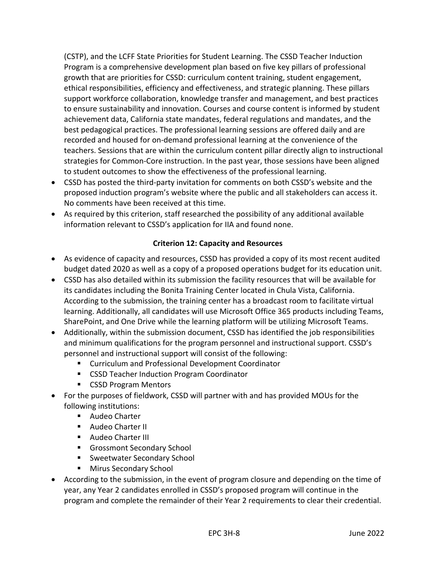(CSTP), and the LCFF State Priorities for Student Learning. The CSSD Teacher Induction Program is a comprehensive development plan based on five key pillars of professional growth that are priorities for CSSD: curriculum content training, student engagement, ethical responsibilities, efficiency and effectiveness, and strategic planning. These pillars support workforce collaboration, knowledge transfer and management, and best practices to ensure sustainability and innovation. Courses and course content is informed by student achievement data, California state mandates, federal regulations and mandates, and the best pedagogical practices. The professional learning sessions are offered daily and are recorded and housed for on-demand professional learning at the convenience of the teachers. Sessions that are within the curriculum content pillar directly align to instructional strategies for Common-Core instruction. In the past year, those sessions have been aligned to student outcomes to show the effectiveness of the professional learning.

- CSSD has posted the third-party invitation for comments on both CSSD's website and the proposed induction program's website where the public and all stakeholders can access it. No comments have been received at this time.
- As required by this criterion, staff researched the possibility of any additional available information relevant to CSSD's application for IIA and found none.

#### **Criterion 12: Capacity and Resources**

- As evidence of capacity and resources, CSSD has provided a copy of its most recent audited budget dated 2020 as well as a copy of a proposed operations budget for its education unit.
- CSSD has also detailed within its submission the facility resources that will be available for its candidates including the Bonita Training Center located in Chula Vista, California. According to the submission, the training center has a broadcast room to facilitate virtual learning. Additionally, all candidates will use Microsoft Office 365 products including Teams, SharePoint, and One Drive while the learning platform will be utilizing Microsoft Teams.
- Additionally, within the submission document, CSSD has identified the job responsibilities and minimum qualifications for the program personnel and instructional support. CSSD's personnel and instructional support will consist of the following:
	- Curriculum and Professional Development Coordinator
	- CSSD Teacher Induction Program Coordinator
	- CSSD Program Mentors
- For the purposes of fieldwork, CSSD will partner with and has provided MOUs for the following institutions:
	- Audeo Charter
	- Audeo Charter II
	- Audeo Charter III
	- **E** Grossmont Secondary School
	- Sweetwater Secondary School
	- Mirus Secondary School
- According to the submission, in the event of program closure and depending on the time of year, any Year 2 candidates enrolled in CSSD's proposed program will continue in the program and complete the remainder of their Year 2 requirements to clear their credential.